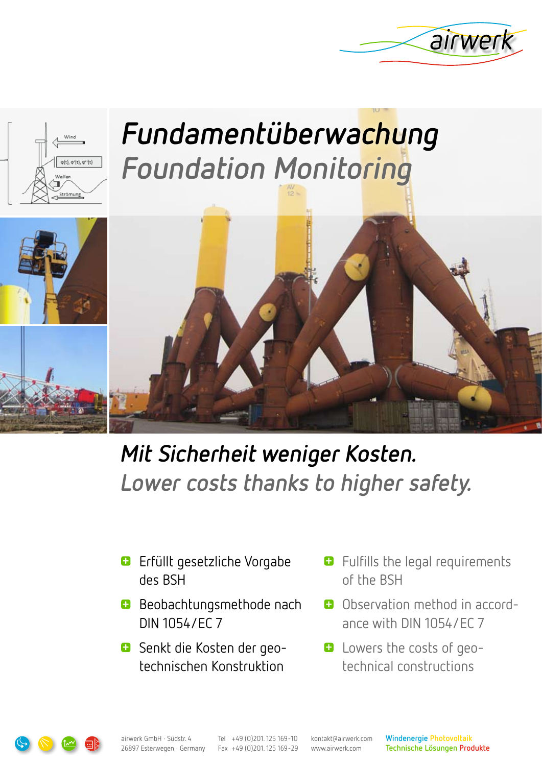



# **Fundamentüberwachung Foundation Monitoring**



- Erfüllt gesetzliche Vorgabe **+** des BSH
- **+** Beobachtungsmethode nach DIN 1054/EC 7
- Senkt die Kosten der geo-**+** technischen Konstruktion
- $\blacksquare$  Fulfills the legal requirements of the BSH
- Observation method in accord-**+** ance with DIN 1054/EC 7
- **+** Lowers the costs of geotechnical constructions



Tel +49 (0)201. 125 169-10 Fax +49 (0)201. 125 169-29 kontakt@airwerk.com www.airwerk.com